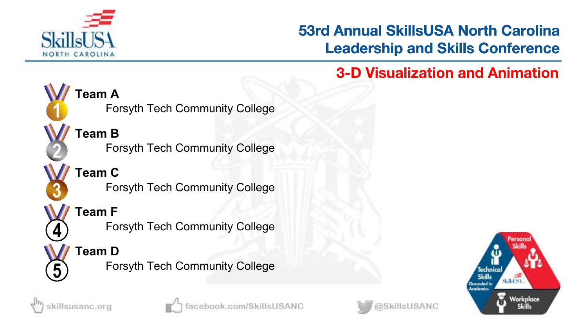

killsusanc.org

## **53rd Annual SkillsUSA North Carolina Leadership and Skills Conference**

@SkillsUSANC

# **3-D Visualization and Animation**



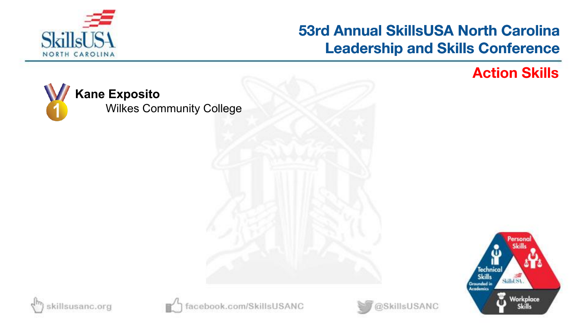

**Action Skills**



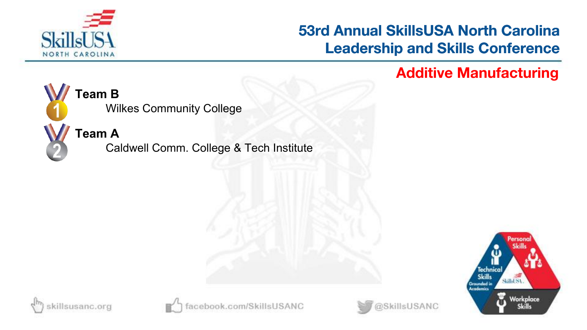

@SkillsUSANC

**Additive Manufacturing**



# Wilkes Community College

**Team A**

Caldwell Comm. College & Tech Institute





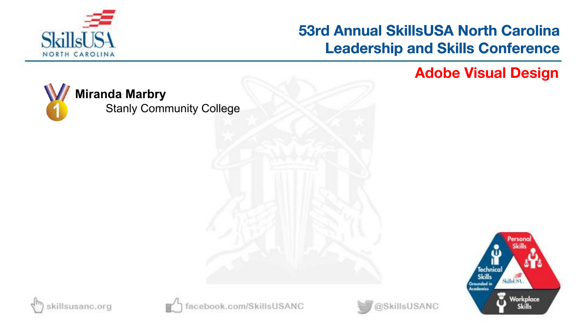

**Adobe Visual Design**



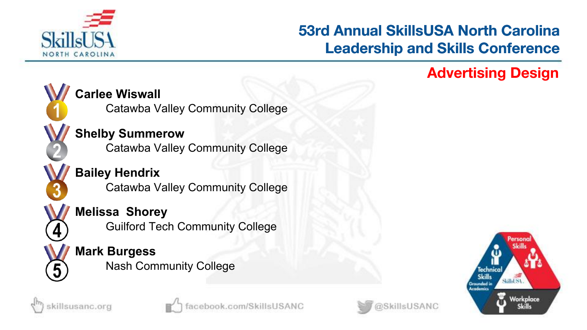

#### **Advertising Design**



killsusanc.org

#### **Carlee Wiswall**

Catawba Valley Community College

# **Shelby Summerow**

Catawba Valley Community College

**Bailey Hendrix** Catawba Valley Community College

#### **Melissa Shorey**

Guilford Tech Community College

#### **Mark Burgess** Nash Community College



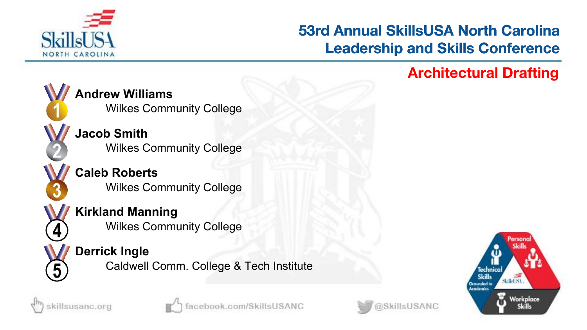

#### **Architectural Drafting**



**Andrew Williams** Wilkes Community College

**Jacob Smith** Wilkes Community College

**Caleb Roberts** Wilkes Community College

**Kirkland Manning** Wilkes Community College

#### **Derrick Ingle**

Caldwell Comm. College & Tech Institute







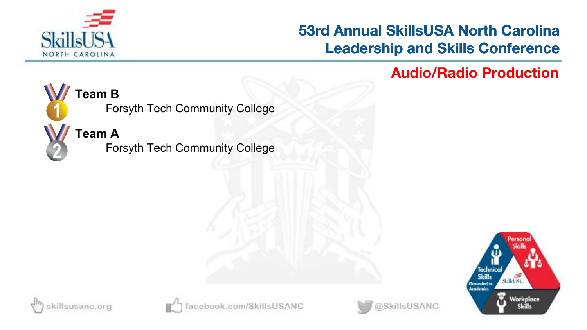

**Audio/Radio Production**



# **Team B**

Forsyth Tech Community College

**Team A**

Forsyth Tech Community College









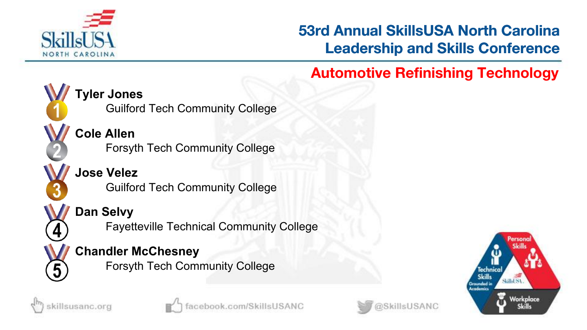

# **Automotive Refinishing Technology Tyler Jones Cole Allen Jose Velez** Guilford Tech Community College Forsyth Tech Community College Guilford Tech Community College

**Dan Selvy**

Fayetteville Technical Community College

#### **Chandler McChesney**

Forsyth Tech Community College





5



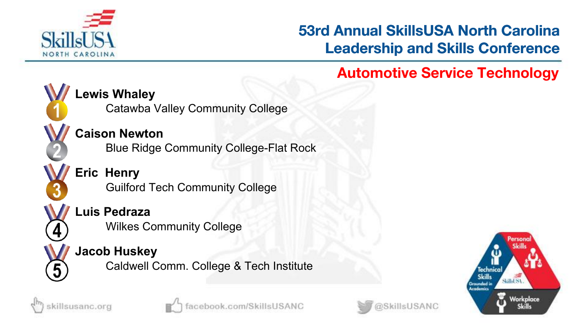

### **Automotive Service Technology**



#### **Lewis Whaley**

Catawba Valley Community College

#### **Caison Newton**

Blue Ridge Community College-Flat Rock

**Eric Henry** Guilford Tech Community College

#### **Luis Pedraza**

Wilkes Community College

#### **Jacob Huskey**

Caldwell Comm. College & Tech Institute







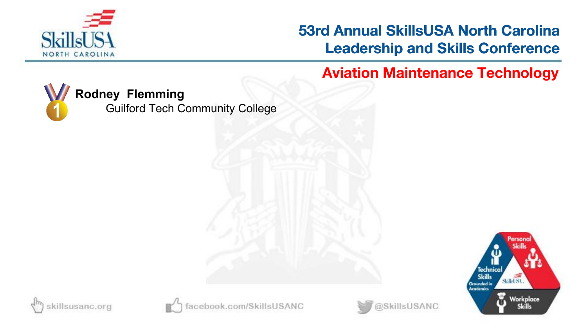

**Aviation Maintenance Technology**



#### **Rodney Flemming**

Guilford Tech Community College







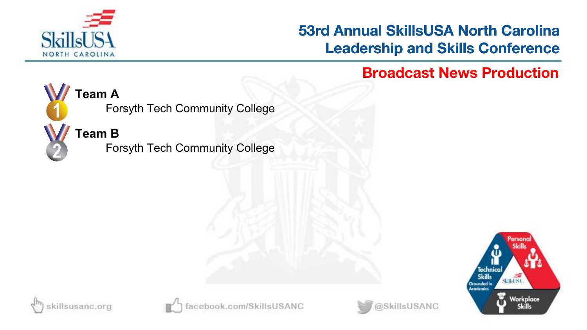

**Broadcast News Production**



#### **Team A**

Forsyth Tech Community College

## **Team B**

Forsyth Tech Community College







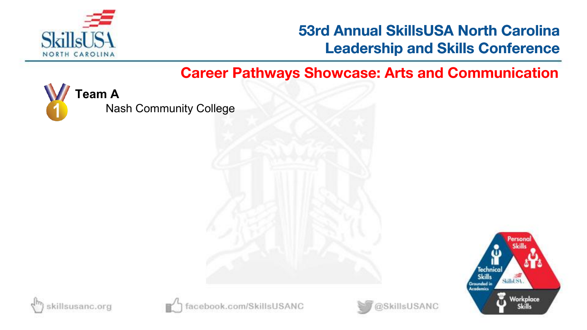

@SkillsUSANC

**Career Pathways Showcase: Arts and Communication**



Nash Community College





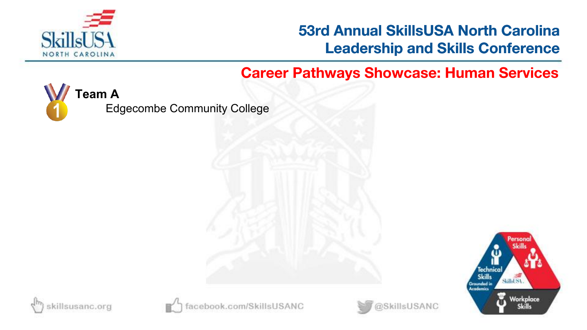

#### **Career Pathways Showcase: Human Services**



Edgecombe Community College







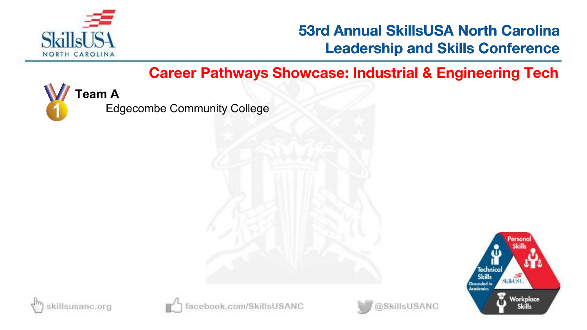

#### **Career Pathways Showcase: Industrial & Engineering Tech**



Edgecombe Community College







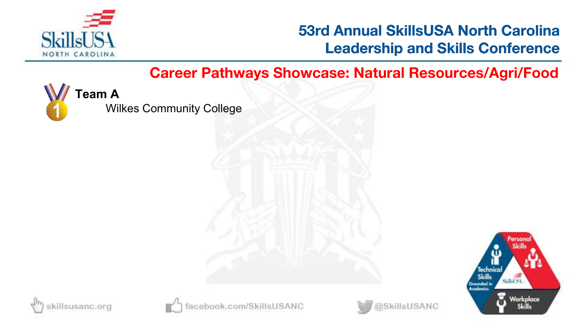

**Career Pathways Showcase: Natural Resources/Agri/Food**



Wilkes Community College







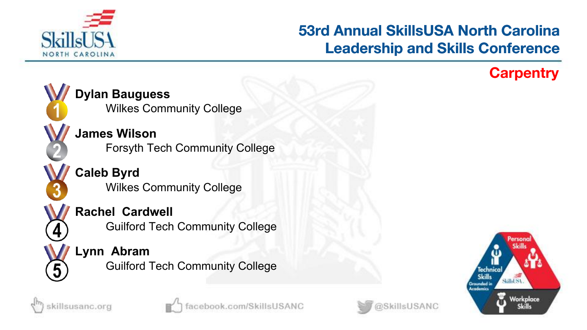

#### **Carpentry**









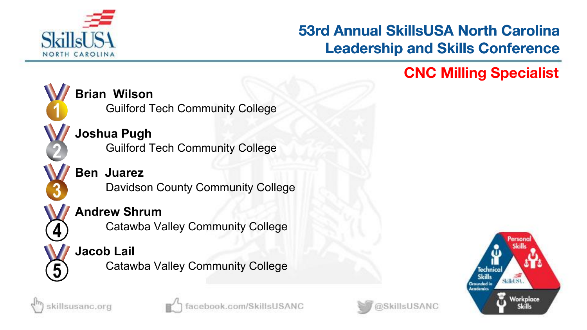

## **CNC Milling Specialist**



#### **Brian Wilson**

Guilford Tech Community College

# **Joshua Pugh**

Guilford Tech Community College

#### **Ben Juarez** Davidson County Community College

#### **Andrew Shrum**

Catawba Valley Community College

# **Jacob Lail**

killsusanc.org

Catawba Valley Community College





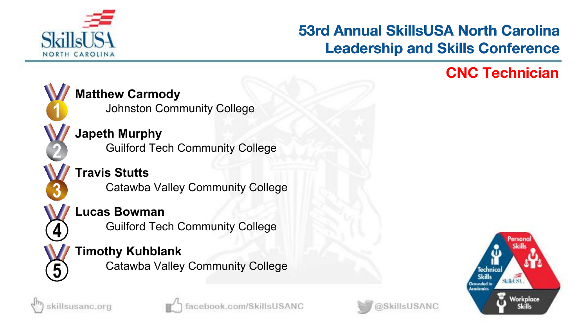

#### **CNC Technician**



**Japeth Murphy** Guilford Tech Community College

**Travis Stutts** Catawba Valley Community College

#### **Lucas Bowman**

Guilford Tech Community College

#### **Timothy Kuhblank**

Catawba Valley Community College







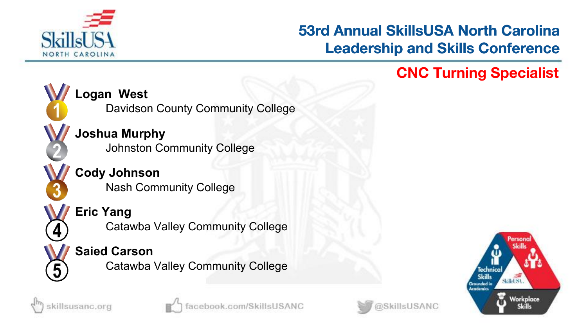

# **CNC Turning Specialist**



#### **Logan West**

Davidson County Community College

**Joshua Murphy** Johnston Community College

**Cody Johnson** Nash Community College



Catawba Valley Community College

#### **Saied Carson**

Catawba Valley Community College







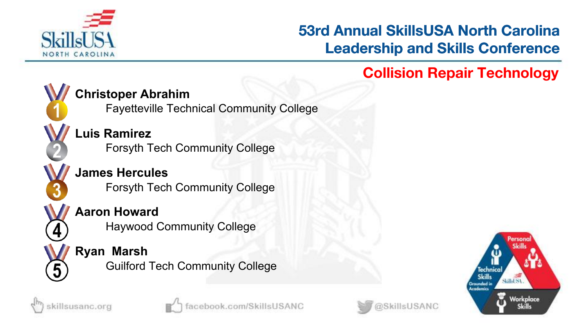

# **Collision Repair Technology**



Fayetteville Technical Community College

#### **Luis Ramirez** Forsyth Tech Community College

**James Hercules** Forsyth Tech Community College

#### **Aaron Howard**

Haywood Community College

#### **Ryan Marsh**

Guilford Tech Community College



5





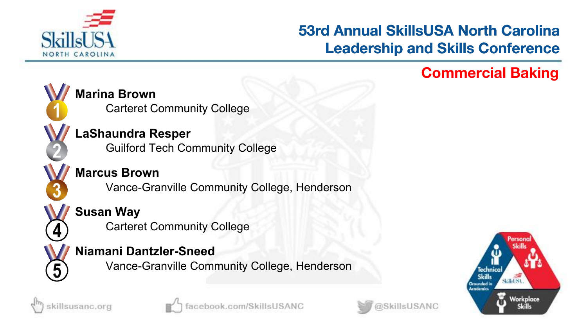

#### **Commercial Baking**



**Marina Brown**

Carteret Community College

#### **LaShaundra Resper**

Guilford Tech Community College

#### **Marcus Brown**

Vance-Granville Community College, Henderson

## **Susan Way**

Carteret Community College

#### **Niamani Dantzler-Sneed**

Vance-Granville Community College, Henderson







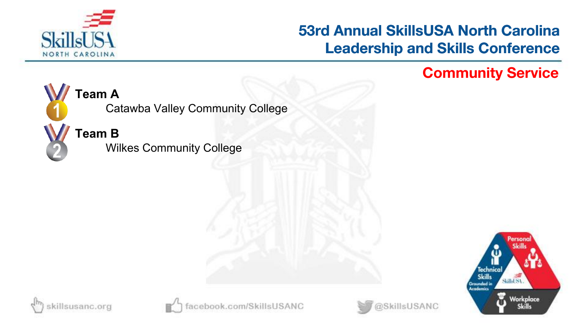

**Community Service**



#### **Team A**

Catawba Valley Community College

#### **Team B**

Wilkes Community College







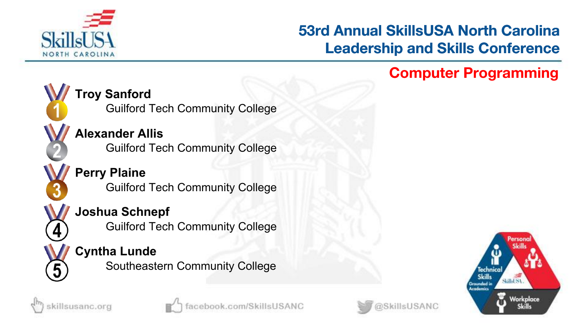

#### **Computer Programming**



killsusanc.org

# **Troy Sanford**

Guilford Tech Community College

# **Alexander Allis**

Guilford Tech Community College

#### **Perry Plaine** Guilford Tech Community College

#### **Joshua Schnepf**

Guilford Tech Community College

# **Cyntha Lunde**

Southeastern Community College





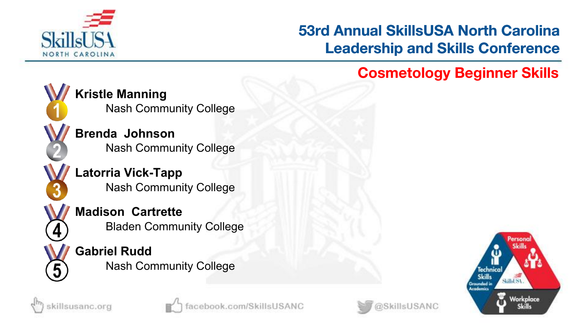

# **Cosmetology Beginner Skills**



killsusanc.org

**Kristle Manning** Nash Community College

**Brenda Johnson** Nash Community College

**Latorria Vick-Tapp** Nash Community College

**Madison Cartrette** Bladen Community College

**Gabriel Rudd** Nash Community College





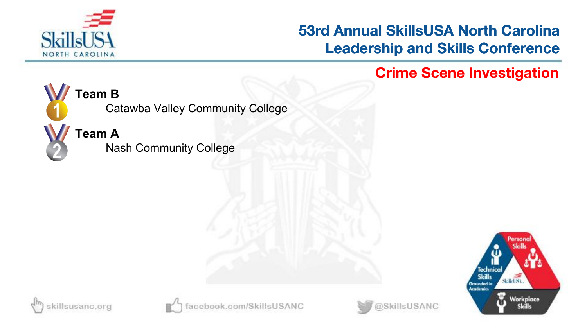

**Crime Scene Investigation**



#### **Team B**

Catawba Valley Community College

**Team A**

Nash Community College







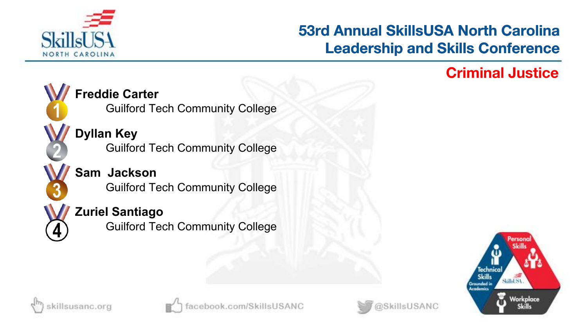

#### **Criminal Justice**









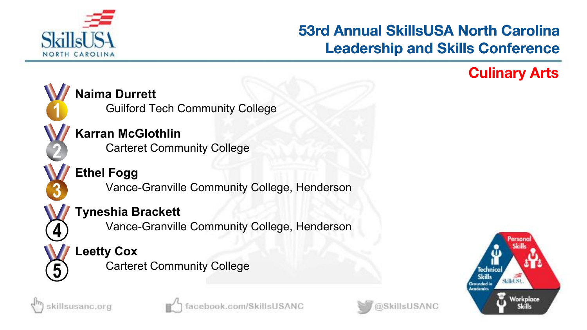

#### **Culinary Arts**



#### **Naima Durrett**

Guilford Tech Community College

# **Karran McGlothlin**

Carteret Community College

#### **Ethel Fogg** Vance-Granville Community College, Henderson

#### **Tyneshia Brackett**

Vance-Granville Community College, Henderson

# **Leetty Cox**

Carteret Community College







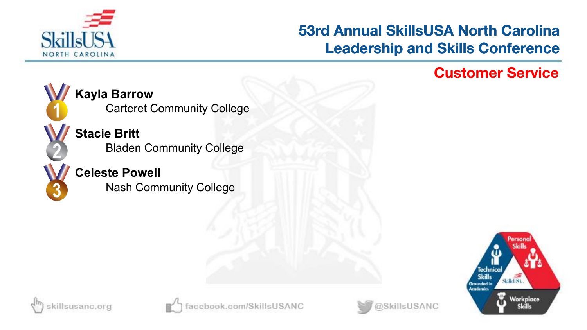

#### **Customer Service**



**Kayla Barrow** Carteret Community College

**Stacie Britt** Bladen Community College



**Celeste Powell** Nash Community College







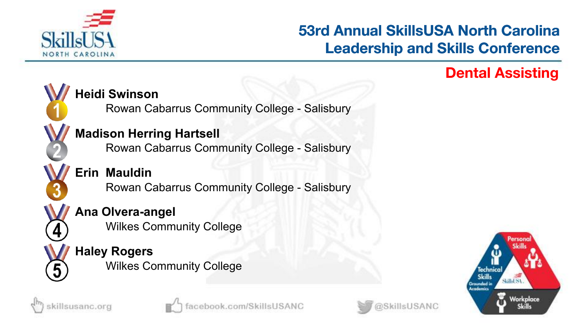

### **Dental Assisting**



killsusanc.org

# **Heidi Swinson**

Rowan Cabarrus Community College - Salisbury

#### **Madison Herring Hartsell**

Rowan Cabarrus Community College - Salisbury

**Erin Mauldin** Rowan Cabarrus Community College - Salisbury

#### **Ana Olvera-angel**

Wilkes Community College

#### **Haley Rogers** Wilkes Community College



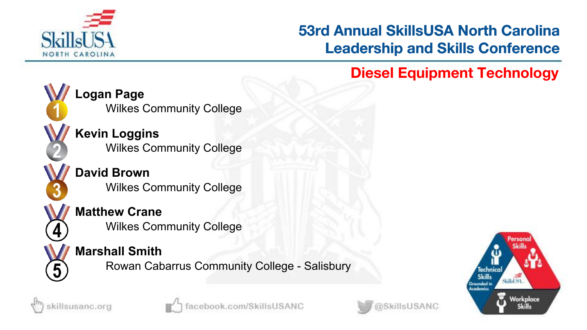

# **Diesel Equipment Technology**



**Logan Page** Wilkes Community College

**Kevin Loggins** Wilkes Community College

**David Brown** Wilkes Community College

**Matthew Crane**

Wilkes Community College

#### **Marshall Smith**

Rowan Cabarrus Community College - Salisbury







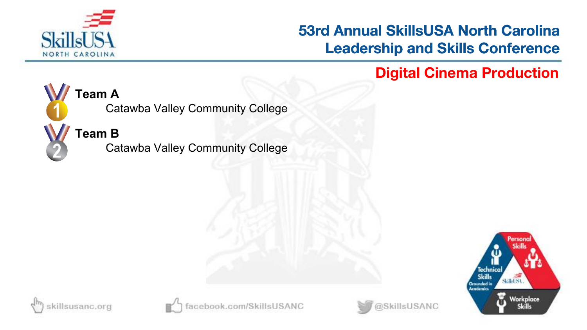

**Digital Cinema Production**



#### **Team A**

Catawba Valley Community College

**Team B**

Catawba Valley Community College







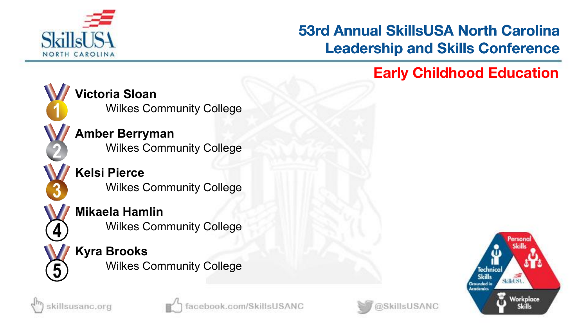

#### **Early Childhood Education**



killsusanc.org

**Victoria Sloan** Wilkes Community College

**Amber Berryman** Wilkes Community College

**Kelsi Pierce** Wilkes Community College

**Mikaela Hamlin** Wilkes Community College

**Kyra Brooks** Wilkes Community College





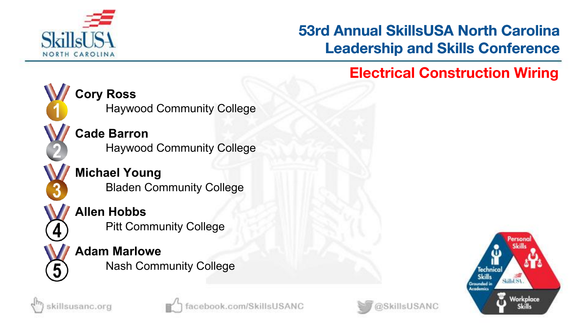

#### **Electrical Construction Wiring**



killsusanc.org

**Cade Barron** Haywood Community College

**Michael Young** Bladen Community College

**Allen Hobbs**

Pitt Community College

**Adam Marlowe** Nash Community College





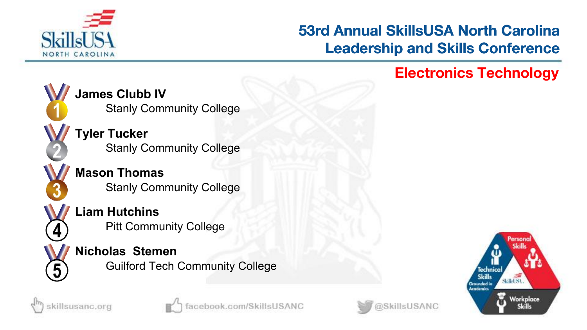

## **Electronics Technology**



killsusanc.org

**James Clubb IV** Stanly Community College

**Tyler Tucker** Stanly Community College

**Mason Thomas** Stanly Community College

**Liam Hutchins** Pitt Community College

#### **Nicholas Stemen**

Guilford Tech Community College





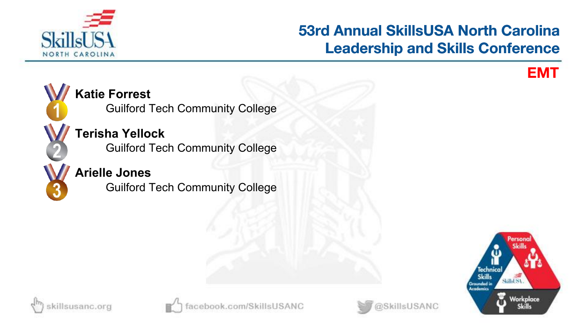

**EMT**



#### **Katie Forrest**

Guilford Tech Community College

# **Terisha Yellock**

Guilford Tech Community College

#### **Arielle Jones**

Guilford Tech Community College







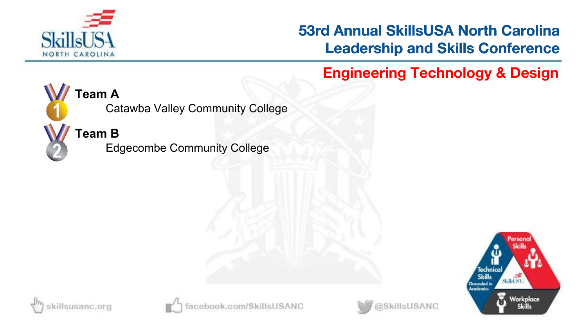

**Engineering Technology & Design**



#### **Team A**

Catawba Valley Community College

#### **Team B**

Edgecombe Community College







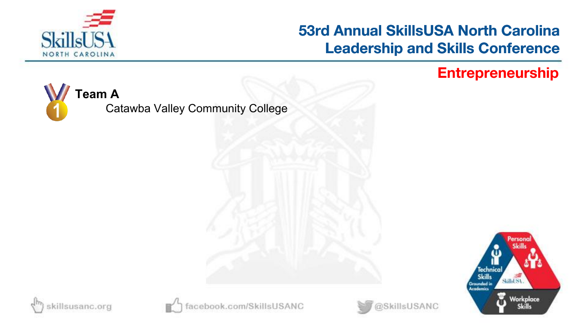

**Entrepreneurship**

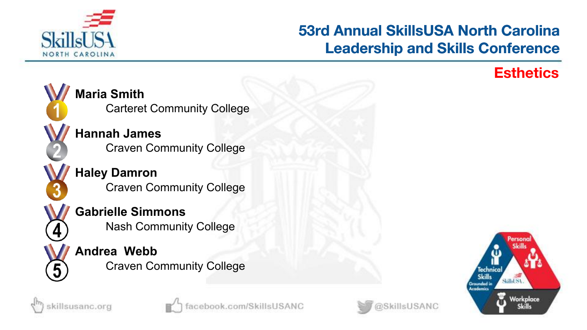

#### **Esthetics**









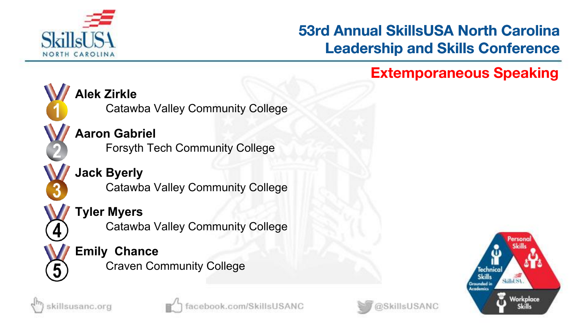

#### **Extemporaneous Speaking**



killsusanc.org

**Alek Zirkle**

Catawba Valley Community College

**Aaron Gabriel** Forsyth Tech Community College

**Jack Byerly** Catawba Valley Community College

**Tyler Myers**

Catawba Valley Community College

**Emily Chance** Craven Community College





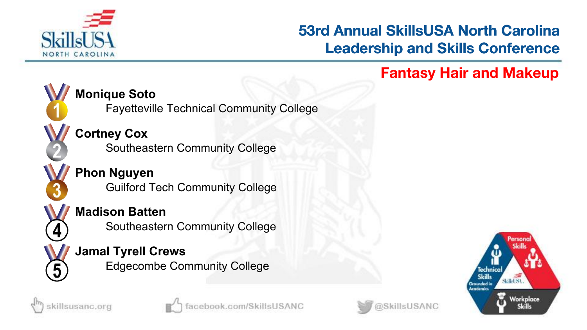

### **Fantasy Hair and Makeup**



#### **Monique Soto**

Fayetteville Technical Community College

# **Cortney Cox**

Southeastern Community College

#### **Phon Nguyen** Guilford Tech Community College

#### **Madison Batten**

Southeastern Community College

# **Jamal Tyrell Crews**

Edgecombe Community College







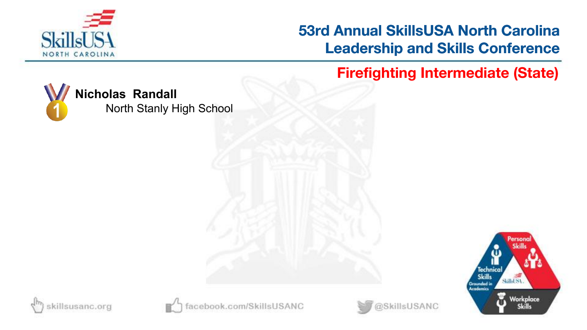

**Firefighting Intermediate (State)**



### **Nicholas Randall**

North Stanly High School







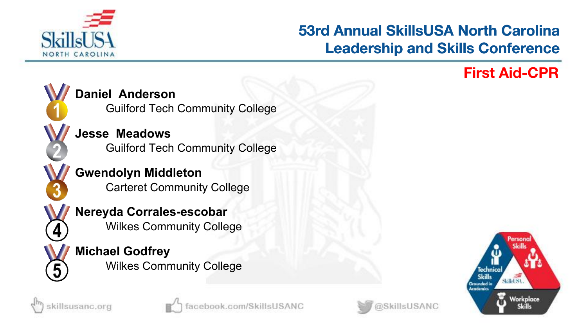

# **First Aid-CPR**



#### **Daniel Anderson**

Guilford Tech Community College

**Jesse Meadows** Guilford Tech Community College

**Gwendolyn Middleton** Carteret Community College

**Nereyda Corrales-escobar** Wilkes Community College

**Michael Godfrey** Wilkes Community College







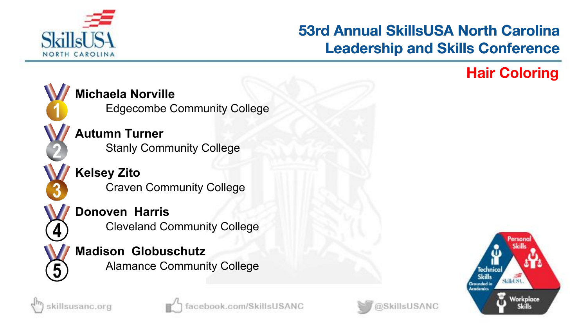

# **Hair Coloring**



**Michaela Norville**

Edgecombe Community College

**Autumn Turner** Stanly Community College

**Kelsey Zito** Craven Community College

**Donoven Harris** Cleveland Community College

**Madison Globuschutz** Alamance Community College





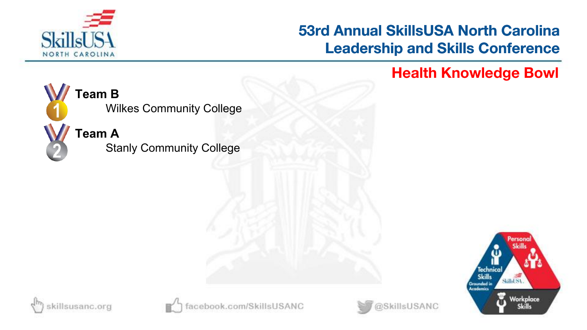

**Health Knowledge Bowl**



Wilkes Community College

**Team A**

Stanly Community College







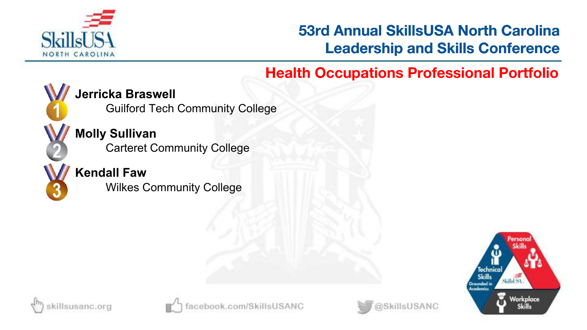

# **Health Occupations Professional Portfolio**



#### **Jerricka Braswell**

Guilford Tech Community College

**Molly Sullivan** Carteret Community College

#### **Kendall Faw**

Wilkes Community College







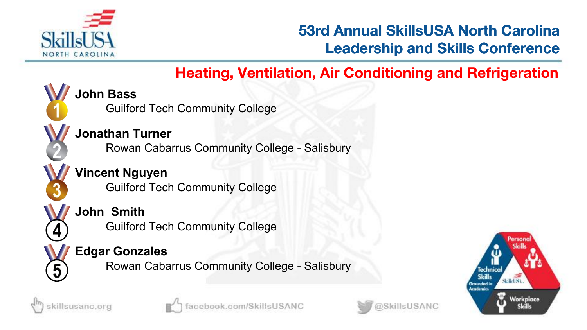

# **Heating, Ventilation, Air Conditioning and Refrigeration**

**John Bass**

Guilford Tech Community College

#### **Jonathan Turner**

Rowan Cabarrus Community College - Salisbury

#### **Vincent Nguyen** Guilford Tech Community College

#### **John Smith**

Guilford Tech Community College

#### **Edgar Gonzales**

Rowan Cabarrus Community College - Salisbury







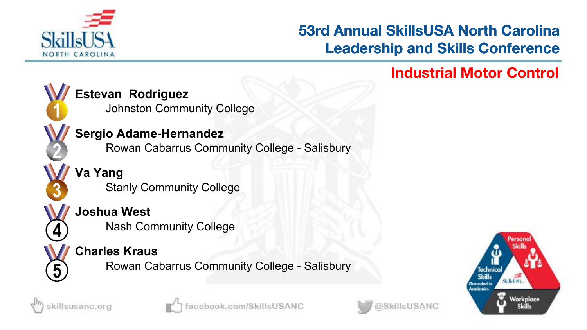

#### **Industrial Motor Control**



#### **Estevan Rodriguez**

Johnston Community College

#### **Sergio Adame-Hernandez**

Rowan Cabarrus Community College - Salisbury

**Va Yang** Stanly Community College

#### **Joshua West**

Nash Community College

#### **Charles Kraus**

Rowan Cabarrus Community College - Salisbury







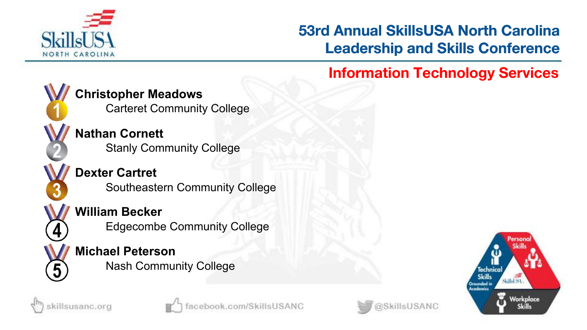

### **Information Technology Services**



killsusanc.org

#### **Christopher Meadows**

Carteret Community College

**Nathan Cornett** Stanly Community College

**Dexter Cartret** Southeastern Community College

#### **William Becker**

Edgecombe Community College

# **Michael Peterson**

Nash Community College





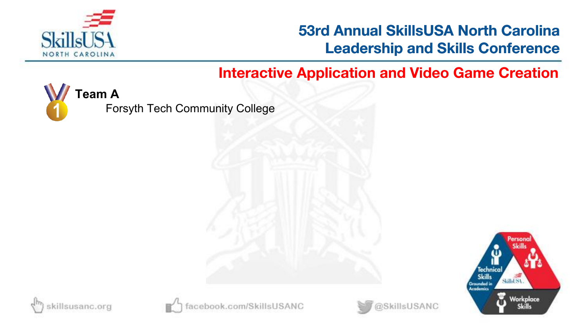

#### **Interactive Application and Video Game Creation**



Forsyth Tech Community College







book.com/SkillsUSANC

@SkillsUSANC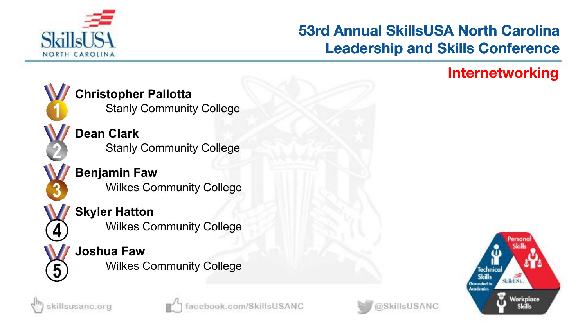

#### **Internetworking**



killsusanc.org

**Christopher Pallotta** Stanly Community College

**Dean Clark** Stanly Community College

**Benjamin Faw** Wilkes Community College

**Skyler Hatton** Wilkes Community College

**Joshua Faw** Wilkes Community College



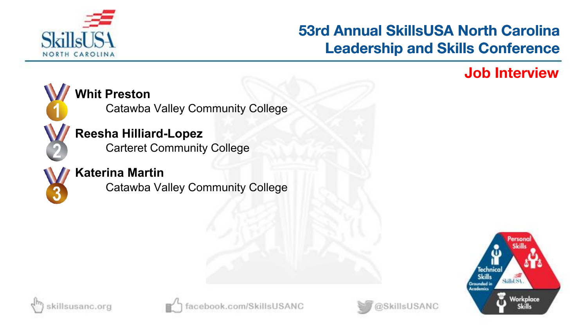

### **Job Interview**



#### **Whit Preston**

Catawba Valley Community College

#### **Reesha Hilliard-Lopez**

Carteret Community College



#### **Katerina Martin**

Catawba Valley Community College







@SkillsUSANC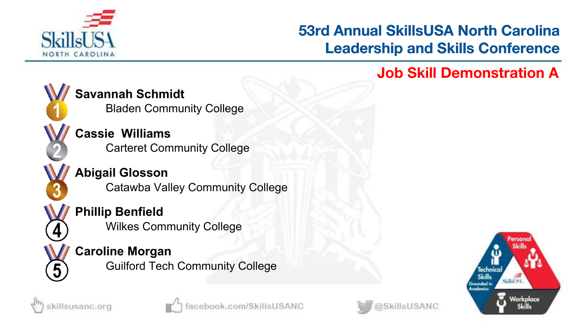

## **Job Skill Demonstration A**



**Savannah Schmidt**

Bladen Community College

**Cassie Williams** Carteret Community College

**Abigail Glosson** Catawba Valley Community College

## **Phillip Benfield**

Wilkes Community College

#### **Caroline Morgan**

Guilford Tech Community College







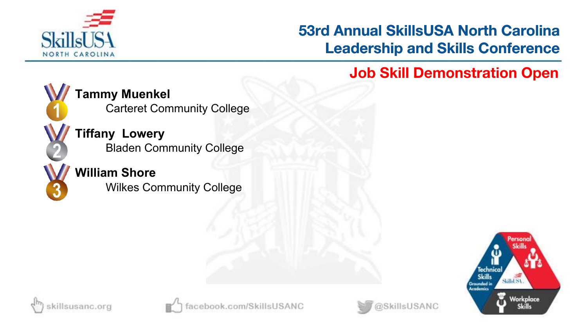

**Job Skill Demonstration Open**



**Tammy Muenkel**

Carteret Community College

**Tiffany Lowery** Bladen Community College

## **William Shore**

Wilkes Community College







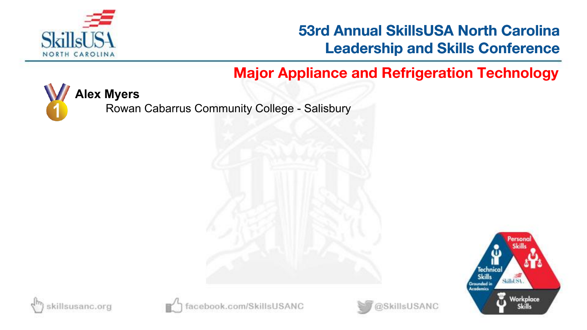

# **Major Appliance and Refrigeration Technology**



Rowan Cabarrus Community College - Salisbury









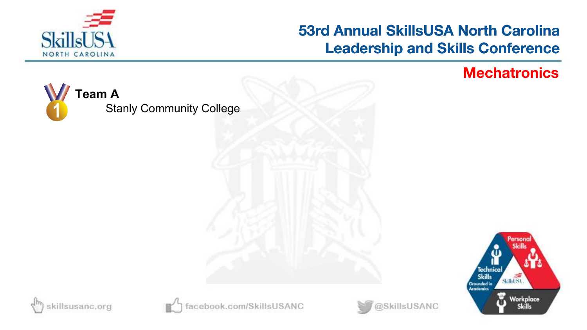

#### **Mechatronics**



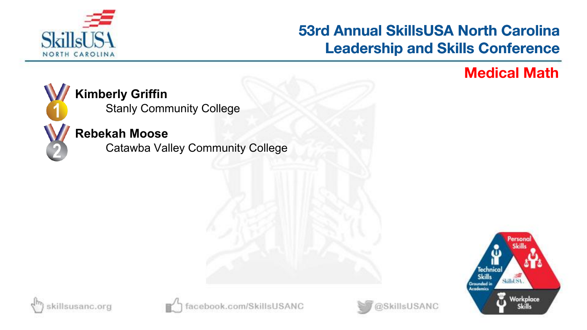

#### **Medical Math**



#### **Kimberly Griffin**

Stanly Community College

#### **Rebekah Moose**

Catawba Valley Community College







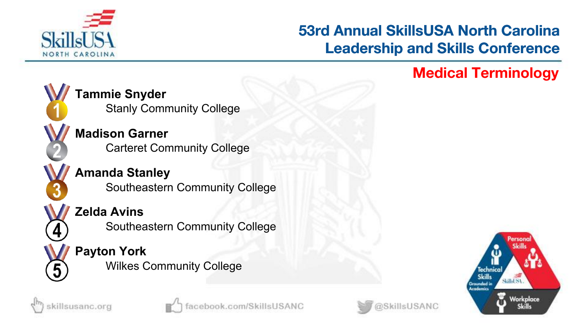

### **Medical Terminology**



killsusanc.org

**Tammie Snyder** Stanly Community College

**Madison Garner** Carteret Community College

**Amanda Stanley** Southeastern Community College

## **Zelda Avins**

Southeastern Community College

#### **Payton York** Wilkes Community College



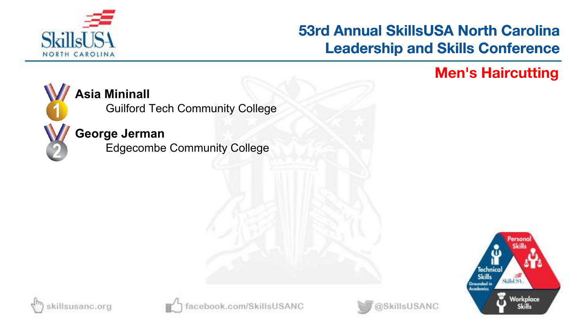

#### **Men's Haircutting**



#### **Asia Mininall**

Guilford Tech Community College

#### **George Jerman**

Edgecombe Community College







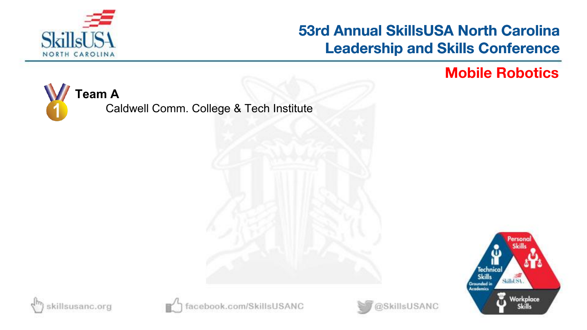

#### **Mobile Robotics**

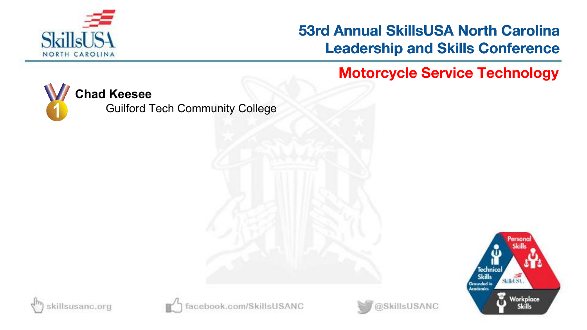

**Motorcycle Service Technology**



Guilford Tech Community College







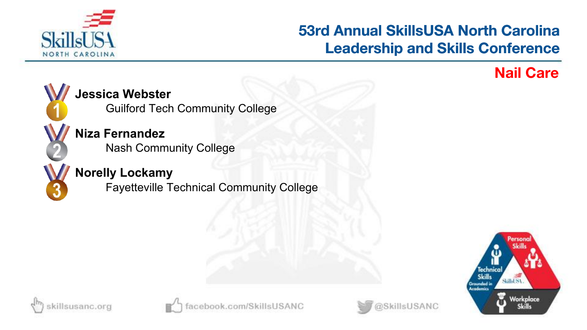

#### **Nail Care**



#### **Jessica Webster**

Guilford Tech Community College

**Niza Fernandez** Nash Community College

#### **Norelly Lockamy**

Fayetteville Technical Community College







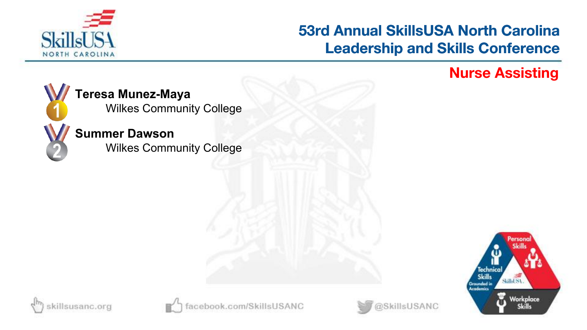

#### **Nurse Assisting**



#### **Teresa Munez-Maya**

Wilkes Community College

#### **Summer Dawson**

Wilkes Community College







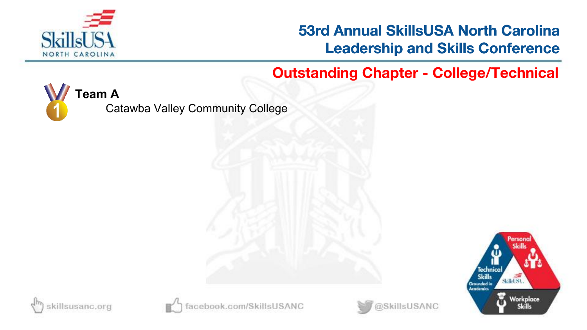

**Outstanding Chapter - College/Technical**



Catawba Valley Community College







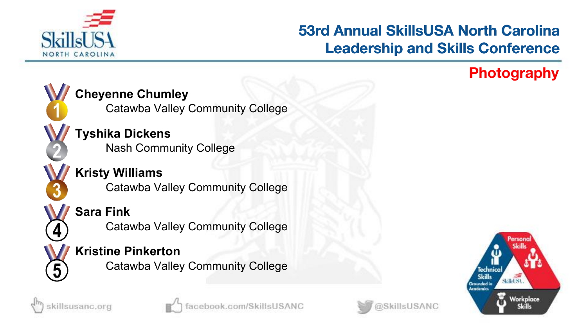

# **Photography**



#### **Cheyenne Chumley**

Catawba Valley Community College

**Tyshika Dickens** Nash Community College

**Kristy Williams** Catawba Valley Community College

#### **Sara Fink**

Catawba Valley Community College

#### **Kristine Pinkerton**

Catawba Valley Community College







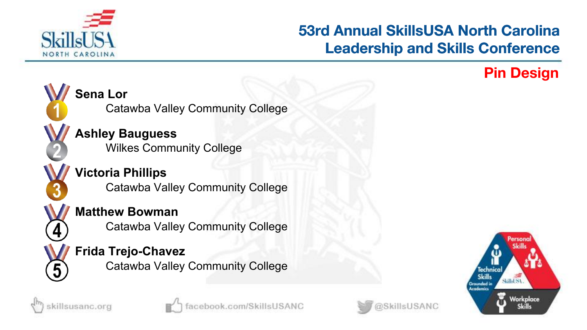

#### **Pin Design**



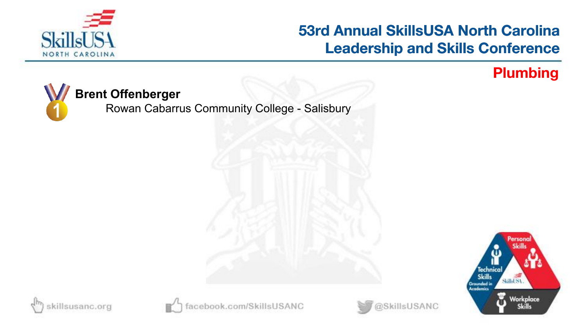

#### **Plumbing**



Rowan Cabarrus Community College - Salisbury









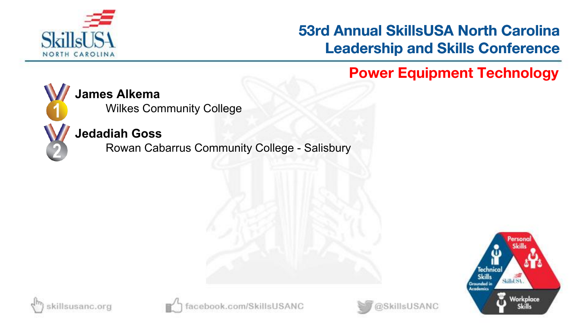

**Power Equipment Technology**



#### **James Alkema**

Wilkes Community College

#### **Jedadiah Goss**

Rowan Cabarrus Community College - Salisbury







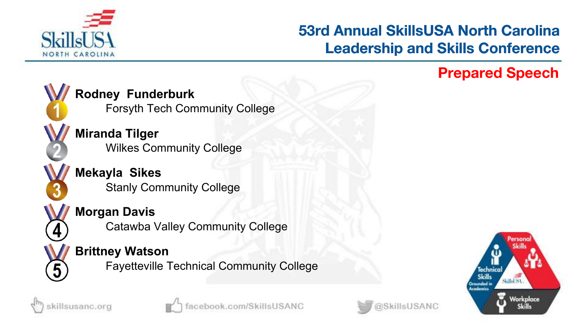

#### **Prepared Speech**



**Rodney Funderburk**

Forsyth Tech Community College

**Miranda Tilger** Wilkes Community College

**Mekayla Sikes** Stanly Community College

#### **Morgan Davis**

Catawba Valley Community College

#### **Brittney Watson**

Fayetteville Technical Community College







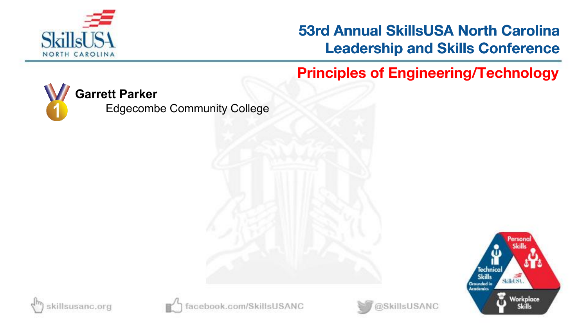

**Principles of Engineering/Technology**



Edgecombe Community College







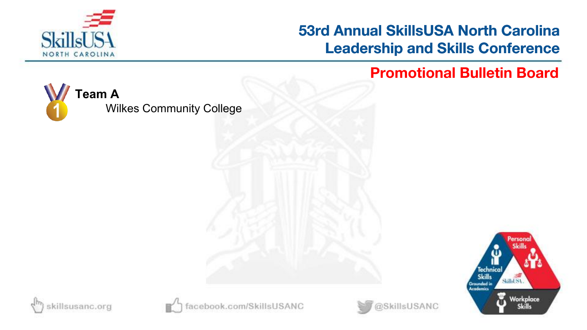

**Promotional Bulletin Board**

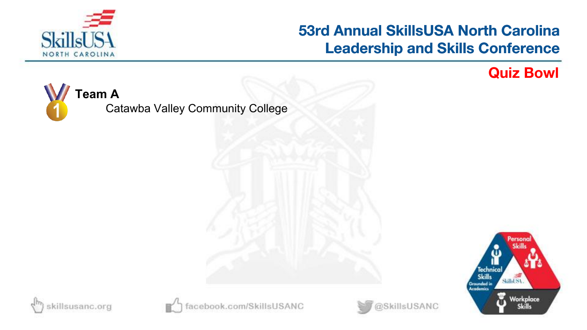

**Quiz Bowl**

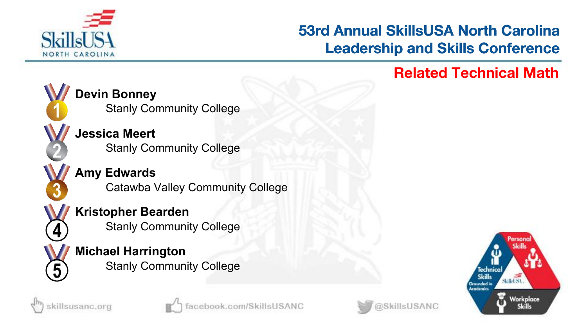

# **Related Technical Math**



killsusanc.org

**Devin Bonney** Stanly Community College

**Jessica Meert** Stanly Community College

**Amy Edwards** Catawba Valley Community College

**Kristopher Bearden** Stanly Community College

**Michael Harrington** Stanly Community College





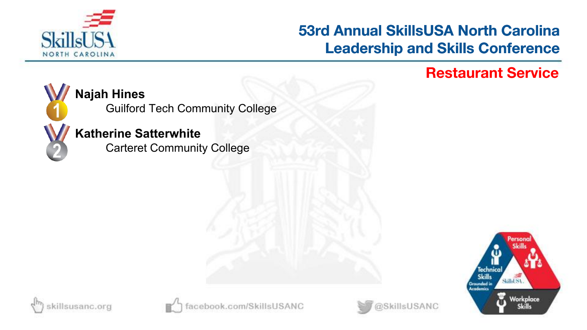

#### **Restaurant Service**



#### **Najah Hines**

Guilford Tech Community College

#### **Katherine Satterwhite**

Carteret Community College







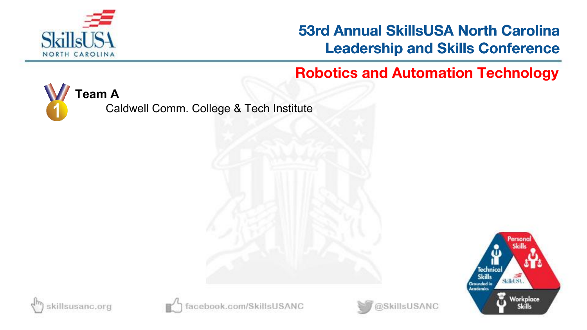

**Robotics and Automation Technology**



Caldwell Comm. College & Tech Institute







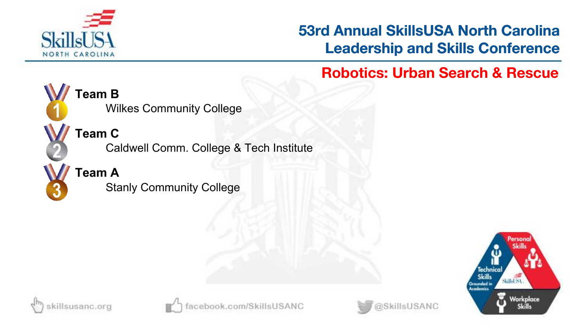

**Robotics: Urban Search & Rescue**



**Team C** Caldwell Comm. College & Tech Institute

Wilkes Community College

**Team A**

Stanly Community College







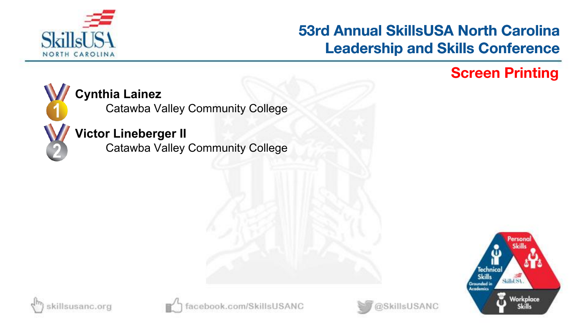

### **Screen Printing**



#### **Cynthia Lainez**

Catawba Valley Community College

#### **Victor Lineberger II**

Catawba Valley Community College







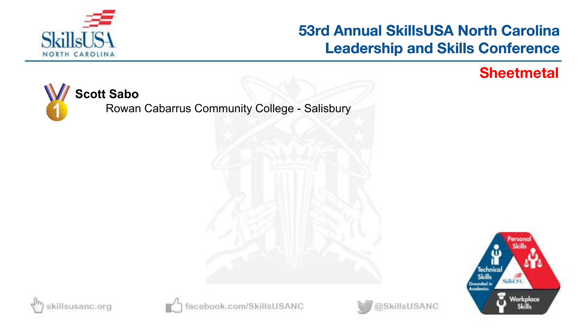

@SkillsUSANC

#### **Sheetmetal**







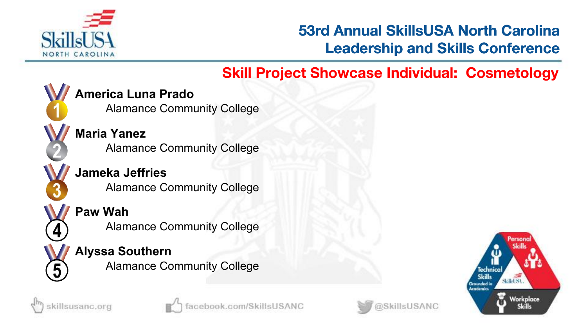

## **Skill Project Showcase Individual: Cosmetology**



**America Luna Prado**

Alamance Community College

**Maria Yanez** Alamance Community College

**Jameka Jeffries** Alamance Community College

#### **Paw Wah**

killsusanc.org

Alamance Community College

#### **Alyssa Southern** Alamance Community College



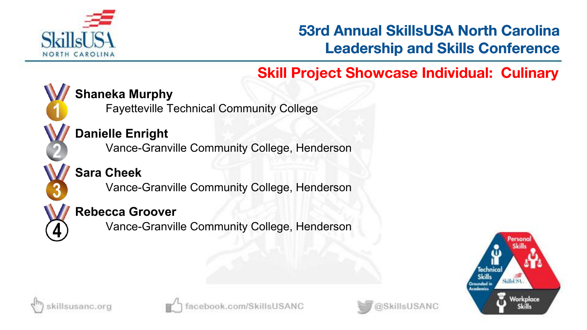

# **Skill Project Showcase Individual: Culinary**



### **Shaneka Murphy**

Fayetteville Technical Community College

### **Danielle Enright**

Vance-Granville Community College, Henderson

## **Sara Cheek**

Vance-Granville Community College, Henderson

### **Rebecca Groover**

Vance-Granville Community College, Henderson







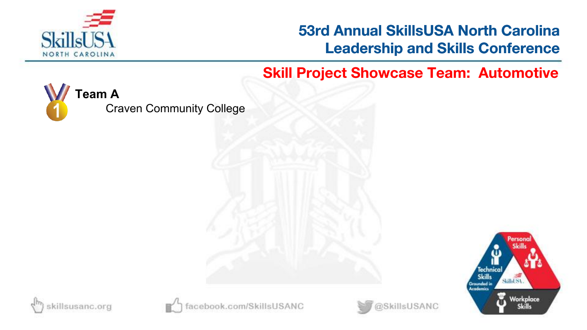

**Skill Project Showcase Team: Automotive**

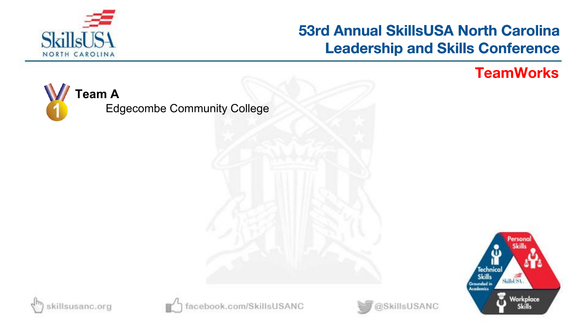

#### **TeamWorks**

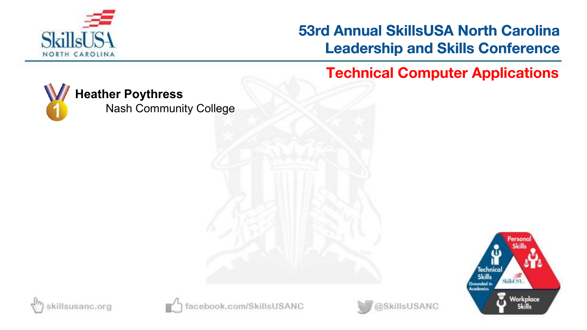

**Technical Computer Applications**



#### **Heather Poythress**

Nash Community College







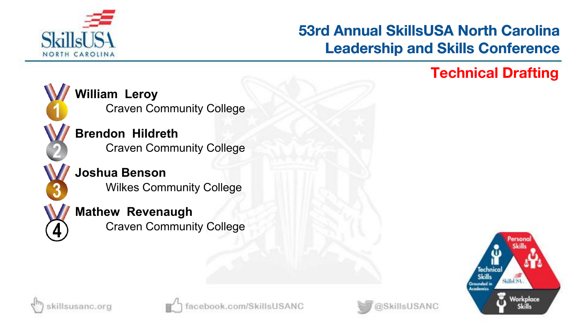

### **Technical Drafting**



**William Leroy** Craven Community College

**Brendon Hildreth** Craven Community College

**Joshua Benson** Wilkes Community College

**Mathew Revenaugh** Craven Community College







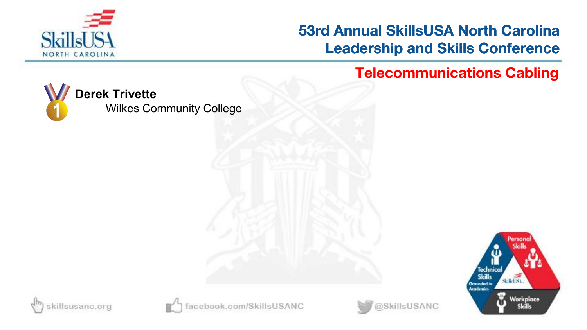

**Telecommunications Cabling**









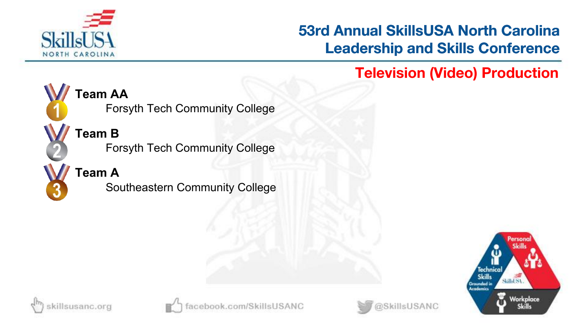

**Television (Video) Production**



**Team AA**

Forsyth Tech Community College

**Team B**

Forsyth Tech Community College

**Team A**

Southeastern Community College







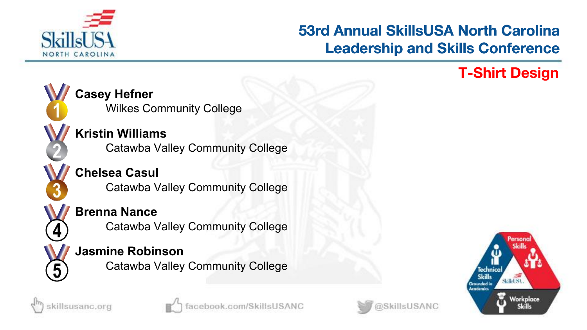

### **T-Shirt Design**









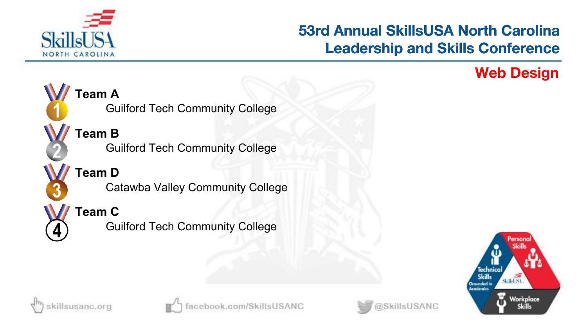

### **Web Design**









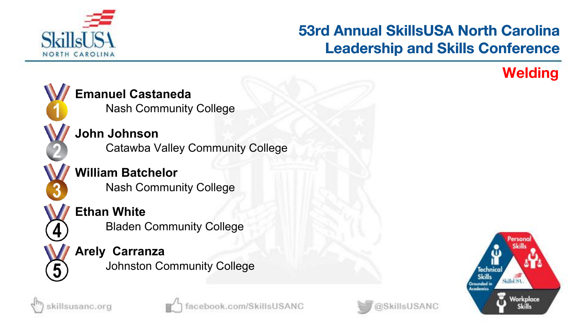

killsUSANC

### **Welding**



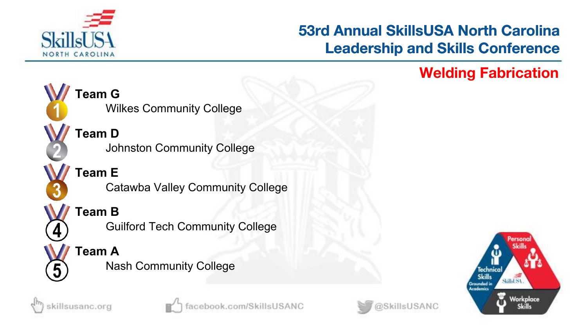

### **Welding Fabrication**